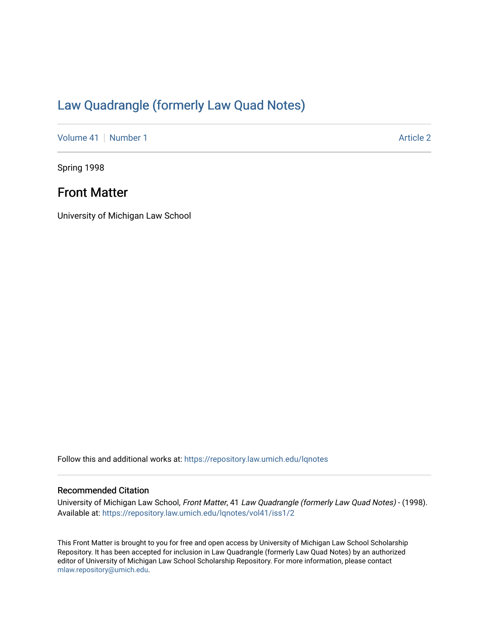## [Law Quadrangle \(formerly Law Quad Notes\)](https://repository.law.umich.edu/lqnotes)

[Volume 41](https://repository.law.umich.edu/lqnotes/vol41) [Number 1](https://repository.law.umich.edu/lqnotes/vol41/iss1) Article 2

Spring 1998

## Front Matter

University of Michigan Law School

Follow this and additional works at: [https://repository.law.umich.edu/lqnotes](https://repository.law.umich.edu/lqnotes?utm_source=repository.law.umich.edu%2Flqnotes%2Fvol41%2Fiss1%2F2&utm_medium=PDF&utm_campaign=PDFCoverPages) 

#### Recommended Citation

University of Michigan Law School, Front Matter, 41 Law Quadrangle (formerly Law Quad Notes) - (1998). Available at: [https://repository.law.umich.edu/lqnotes/vol41/iss1/2](https://repository.law.umich.edu/lqnotes/vol41/iss1/2?utm_source=repository.law.umich.edu%2Flqnotes%2Fvol41%2Fiss1%2F2&utm_medium=PDF&utm_campaign=PDFCoverPages) 

This Front Matter is brought to you for free and open access by University of Michigan Law School Scholarship Repository. It has been accepted for inclusion in Law Quadrangle (formerly Law Quad Notes) by an authorized editor of University of Michigan Law School Scholarship Repository. For more information, please contact [mlaw.repository@umich.edu.](mailto:mlaw.repository@umich.edu)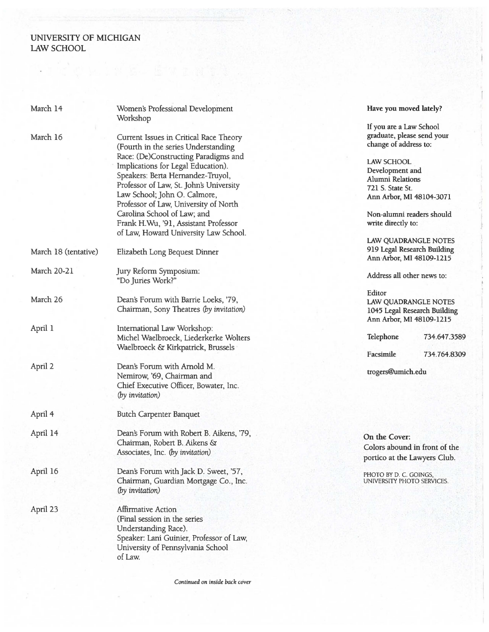### UNIVERSITY OF MICHIGAN LAW SCHOOL

| March 14             | Women's Professional Development         | Have you moved lately?        |
|----------------------|------------------------------------------|-------------------------------|
|                      | Workshop                                 | If you are a Law School       |
| March 16             | Current Issues in Critical Race Theory   | graduate, please send your    |
|                      | (Fourth in the series Understanding      | change of address to:         |
|                      | Race: (De)Constructing Paradigms and     |                               |
|                      | Implications for Legal Education).       | LAW SCHOOL                    |
|                      | Speakers: Berta Hernandez-Truyol,        | Development and               |
|                      | Professor of Law, St. John's University  | Alumni Relations              |
|                      | Law School; John O. Calmore,             | 721 S. State St.              |
|                      |                                          | Ann Arbor, MI 48104-3071      |
|                      | Professor of Law, University of North    |                               |
|                      | Carolina School of Law; and              | Non-alumni readers should     |
|                      | Frank H.Wu, '91, Assistant Professor     | write directly to:            |
|                      | of Law, Howard University Law School.    |                               |
|                      |                                          | LAW QUADRANGLE NOTES          |
| March 18 (tentative) | Elizabeth Long Bequest Dinner            | 919 Legal Research Building   |
|                      |                                          | Ann Arbor, MI 48109-1215      |
| <b>March 20-21</b>   | Jury Reform Symposium:                   |                               |
|                      | "Do Juries Work?"                        | Address all other news to:    |
|                      |                                          |                               |
| March 26             |                                          | Editor                        |
|                      | Dean's Forum with Barrie Loeks, '79,     | LAW QUADRANGLE NOTES          |
|                      | Chairman, Sony Theatres (by invitation)  | 1045 Legal Research Building  |
|                      |                                          | Ann Arbor, MI 48109-1215      |
| April 1              | International Law Workshop:              |                               |
|                      | Michel Waelbroeck, Liederkerke Wolters   | Telephone<br>734.647.3589     |
|                      | Waelbroeck & Kirkpatrick, Brussels       |                               |
|                      |                                          | Facsimile<br>734.764.8309     |
| April 2              | Dean's Forum with Arnold M.              |                               |
|                      | Nemirow, '69, Chairman and               | trogers@umich.edu             |
|                      | Chief Executive Officer, Bowater, Inc.   |                               |
|                      |                                          |                               |
|                      | (by invitation)                          |                               |
| April 4              | <b>Butch Carpenter Banquet</b>           |                               |
|                      |                                          |                               |
| April 14             | Dean's Forum with Robert B. Aikens, '79, | On the Cover:                 |
|                      | Chairman, Robert B. Aikens &             | Colors abound in front of the |
|                      | Associates, Inc. (by invitation)         | portico at the Lawyers Club.  |
|                      |                                          |                               |
| April 16             | Dean's Forum with Jack D. Sweet, '57,    | PHOTO BY D. C. GOINGS,        |
|                      | Chairman, Guardian Mortgage Co., Inc.    | UNIVERSITY PHOTO SERVICES.    |
|                      | (by invitation)                          |                               |
| April 23             | <b>Affirmative Action</b>                |                               |
|                      |                                          |                               |
|                      | (Final session in the series             |                               |
|                      | Understanding Race).                     |                               |
|                      | Speaker: Lani Guinier, Professor of Law, |                               |
|                      | University of Pennsylvania School        |                               |
|                      | of Law.                                  |                               |
|                      |                                          |                               |

*Continued on inside back cover*